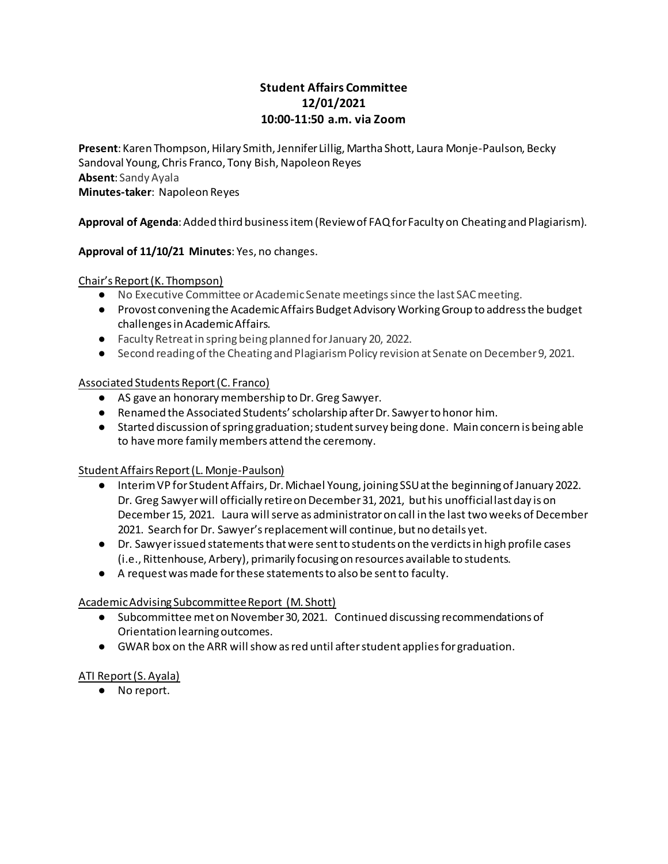# **Student Affairs Committee 12/01/2021 10:00-11:50 a.m. via Zoom**

**Present**: Karen Thompson, Hilary Smith, Jennifer Lillig, Martha Shott, Laura Monje-Paulson, Becky Sandoval Young, Chris Franco, Tony Bish, Napoleon Reyes **Absent**: Sandy Ayala **Minutes-taker**: Napoleon Reyes

**Approval of Agenda**: Added third business item (Review of FAQ for Faculty on Cheating and Plagiarism).

# **Approval of 11/10/21 Minutes**: Yes, no changes.

### Chair's Report (K. Thompson)

- No Executive Committee or Academic Senate meetings since the last SAC meeting.
- Provost convening the Academic Affairs Budget Advisory Working Group to address the budget challenges in Academic Affairs.
- Faculty Retreat in springbeing planned for January 20, 2022.
- Second reading of the Cheating and Plagiarism Policy revision at Senate on December 9, 2021.

#### Associated Students Report (C. Franco)

- AS gave an honorary membership to Dr. Greg Sawyer.
- Renamed the Associated Students' scholarship after Dr. Sawyerto honor him.
- Started discussion of spring graduation; student survey being done. Main concern is being able to have more family members attend the ceremony.

### Student Affairs Report (L. Monje-Paulson)

- Interim VP for Student Affairs, Dr. Michael Young, joining SSU at the beginning of January 2022. Dr. Greg Sawyer will officially retire on December 31, 2021, but his unofficial last day is on December 15, 2021. Laura will serve as administrator on call in the last two weeks of December 2021. Search for Dr. Sawyer's replacementwill continue, but no details yet.
- Dr. Sawyer issued statementsthat were sent to students on the verdicts in high profile cases (i.e., Rittenhouse, Arbery), primarily focusing on resources available to students.
- A request was made for these statements to also be sent to faculty.

#### Academic Advising Subcommittee Report (M. Shott)

- Subcommittee met on November 30, 2021. Continued discussing recommendations of Orientation learning outcomes.
- GWAR box on the ARR will show as red until after student applies for graduation.

#### ATI Report (S. Ayala)

● No report.